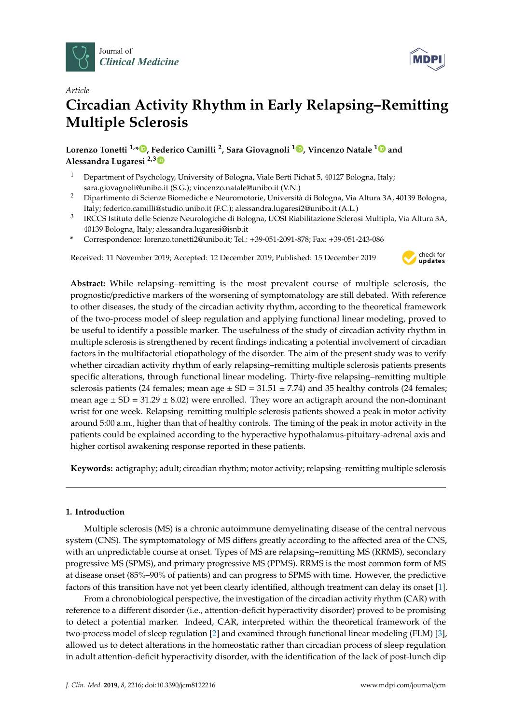



# *Article* **Circadian Activity Rhythm in Early Relapsing–Remitting Multiple Sclerosis**

**Lorenzo Tonetti 1,\* [,](https://orcid.org/0000-0001-6797-9266) Federico Camilli <sup>2</sup> , Sara Giovagnoli <sup>1</sup> [,](https://orcid.org/0000-0002-3252-8083) Vincenzo Natale [1](https://orcid.org/0000-0001-8438-7828) and Alessandra Lugaresi 2,[3](https://orcid.org/0000-0003-2902-5589)**

- <sup>1</sup> Department of Psychology, University of Bologna, Viale Berti Pichat 5, 40127 Bologna, Italy; sara.giovagnoli@unibo.it (S.G.); vincenzo.natale@unibo.it (V.N.)
- <sup>2</sup> Dipartimento di Scienze Biomediche e Neuromotorie, Università di Bologna, Via Altura 3A, 40139 Bologna, Italy; federico.camilli@studio.unibo.it (F.C.); alessandra.lugaresi2@unibo.it (A.L.)
- 3 IRCCS Istituto delle Scienze Neurologiche di Bologna, UOSI Riabilitazione Sclerosi Multipla, Via Altura 3A, 40139 Bologna, Italy; alessandra.lugaresi@isnb.it
- **\*** Correspondence: lorenzo.tonetti2@unibo.it; Tel.: +39-051-2091-878; Fax: +39-051-243-086

Received: 11 November 2019; Accepted: 12 December 2019; Published: 15 December 2019



**Abstract:** While relapsing–remitting is the most prevalent course of multiple sclerosis, the prognostic/predictive markers of the worsening of symptomatology are still debated. With reference to other diseases, the study of the circadian activity rhythm, according to the theoretical framework of the two-process model of sleep regulation and applying functional linear modeling, proved to be useful to identify a possible marker. The usefulness of the study of circadian activity rhythm in multiple sclerosis is strengthened by recent findings indicating a potential involvement of circadian factors in the multifactorial etiopathology of the disorder. The aim of the present study was to verify whether circadian activity rhythm of early relapsing–remitting multiple sclerosis patients presents specific alterations, through functional linear modeling. Thirty-five relapsing–remitting multiple sclerosis patients (24 females; mean age  $\pm$  SD = 31.51  $\pm$  7.74) and 35 healthy controls (24 females; mean age  $\pm$  SD = 31.29  $\pm$  8.02) were enrolled. They wore an actigraph around the non-dominant wrist for one week. Relapsing–remitting multiple sclerosis patients showed a peak in motor activity around 5:00 a.m., higher than that of healthy controls. The timing of the peak in motor activity in the patients could be explained according to the hyperactive hypothalamus-pituitary-adrenal axis and higher cortisol awakening response reported in these patients.

**Keywords:** actigraphy; adult; circadian rhythm; motor activity; relapsing–remitting multiple sclerosis

# **1. Introduction**

Multiple sclerosis (MS) is a chronic autoimmune demyelinating disease of the central nervous system (CNS). The symptomatology of MS differs greatly according to the affected area of the CNS, with an unpredictable course at onset. Types of MS are relapsing–remitting MS (RRMS), secondary progressive MS (SPMS), and primary progressive MS (PPMS). RRMS is the most common form of MS at disease onset (85%–90% of patients) and can progress to SPMS with time. However, the predictive factors of this transition have not yet been clearly identified, although treatment can delay its onset [\[1\]](#page-6-0).

From a chronobiological perspective, the investigation of the circadian activity rhythm (CAR) with reference to a different disorder (i.e., attention-deficit hyperactivity disorder) proved to be promising to detect a potential marker. Indeed, CAR, interpreted within the theoretical framework of the two-process model of sleep regulation [\[2\]](#page-6-1) and examined through functional linear modeling (FLM) [\[3\]](#page-6-2), allowed us to detect alterations in the homeostatic rather than circadian process of sleep regulation in adult attention-deficit hyperactivity disorder, with the identification of the lack of post-lunch dip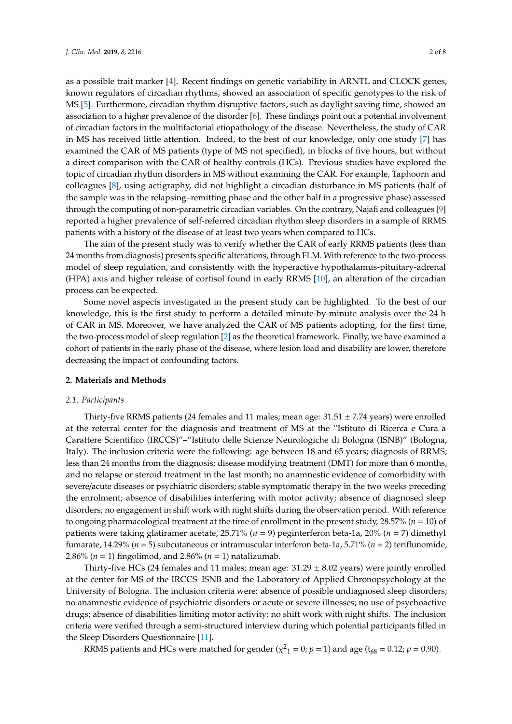as a possible trait marker [\[4\]](#page-6-3). Recent findings on genetic variability in ARNTL and CLOCK genes, known regulators of circadian rhythms, showed an association of specific genotypes to the risk of MS [\[5\]](#page-6-4). Furthermore, circadian rhythm disruptive factors, such as daylight saving time, showed an association to a higher prevalence of the disorder [\[6\]](#page-6-5). These findings point out a potential involvement of circadian factors in the multifactorial etiopathology of the disease. Nevertheless, the study of CAR in MS has received little attention. Indeed, to the best of our knowledge, only one study [\[7\]](#page-6-6) has examined the CAR of MS patients (type of MS not specified), in blocks of five hours, but without a direct comparison with the CAR of healthy controls (HCs). Previous studies have explored the topic of circadian rhythm disorders in MS without examining the CAR. For example, Taphoorn and colleagues [\[8\]](#page-6-7), using actigraphy, did not highlight a circadian disturbance in MS patients (half of the sample was in the relapsing–remitting phase and the other half in a progressive phase) assessed through the computing of non-parametric circadian variables. On the contrary, Najafi and colleagues [\[9\]](#page-6-8) reported a higher prevalence of self-referred circadian rhythm sleep disorders in a sample of RRMS patients with a history of the disease of at least two years when compared to HCs.

The aim of the present study was to verify whether the CAR of early RRMS patients (less than 24 months from diagnosis) presents specific alterations, through FLM. With reference to the two-process model of sleep regulation, and consistently with the hyperactive hypothalamus-pituitary-adrenal (HPA) axis and higher release of cortisol found in early RRMS [\[10\]](#page-6-9), an alteration of the circadian process can be expected.

Some novel aspects investigated in the present study can be highlighted. To the best of our knowledge, this is the first study to perform a detailed minute-by-minute analysis over the 24 h of CAR in MS. Moreover, we have analyzed the CAR of MS patients adopting, for the first time, the two-process model of sleep regulation [\[2\]](#page-6-1) as the theoretical framework. Finally, we have examined a cohort of patients in the early phase of the disease, where lesion load and disability are lower, therefore decreasing the impact of confounding factors.

### **2. Materials and Methods**

#### *2.1. Participants*

Thirty-five RRMS patients (24 females and 11 males; mean age:  $31.51 \pm 7.74$  years) were enrolled at the referral center for the diagnosis and treatment of MS at the "Istituto di Ricerca e Cura a Carattere Scientifico (IRCCS)"–"Istituto delle Scienze Neurologiche di Bologna (ISNB)" (Bologna, Italy). The inclusion criteria were the following: age between 18 and 65 years; diagnosis of RRMS; less than 24 months from the diagnosis; disease modifying treatment (DMT) for more than 6 months, and no relapse or steroid treatment in the last month; no anamnestic evidence of comorbidity with severe/acute diseases or psychiatric disorders; stable symptomatic therapy in the two weeks preceding the enrolment; absence of disabilities interfering with motor activity; absence of diagnosed sleep disorders; no engagement in shift work with night shifts during the observation period. With reference to ongoing pharmacological treatment at the time of enrollment in the present study, 28.57% (*n* = 10) of patients were taking glatiramer acetate, 25.71% (*n* = 9) peginterferon beta-1a, 20% (*n* = 7) dimethyl fumarate, 14.29% (*n* = 5) subcutaneous or intramuscular interferon beta-1a, 5.71% (*n* = 2) teriflunomide, 2.86% (*n* = 1) fingolimod, and 2.86% (*n* = 1) natalizumab.

Thirty-five HCs (24 females and 11 males; mean age:  $31.29 \pm 8.02$  years) were jointly enrolled at the center for MS of the IRCCS–ISNB and the Laboratory of Applied Chronopsychology at the University of Bologna. The inclusion criteria were: absence of possible undiagnosed sleep disorders; no anamnestic evidence of psychiatric disorders or acute or severe illnesses; no use of psychoactive drugs; absence of disabilities limiting motor activity; no shift work with night shifts. The inclusion criteria were verified through a semi-structured interview during which potential participants filled in the Sleep Disorders Questionnaire [\[11\]](#page-6-10).

RRMS patients and HCs were matched for gender ( $\chi^2$ <sub>1</sub> = 0; *p* = 1) and age (t<sub>68</sub> = 0.12; *p* = 0.90).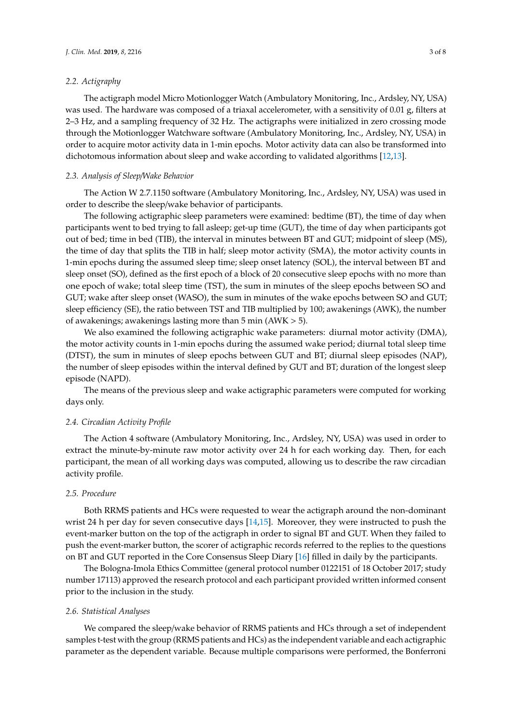## *2.2. Actigraphy*

The actigraph model Micro Motionlogger Watch (Ambulatory Monitoring, Inc., Ardsley, NY, USA) was used. The hardware was composed of a triaxal accelerometer, with a sensitivity of 0.01 g, filters at 2–3 Hz, and a sampling frequency of 32 Hz. The actigraphs were initialized in zero crossing mode through the Motionlogger Watchware software (Ambulatory Monitoring, Inc., Ardsley, NY, USA) in order to acquire motor activity data in 1-min epochs. Motor activity data can also be transformed into dichotomous information about sleep and wake according to validated algorithms [\[12](#page-6-11)[,13\]](#page-6-12).

#### *2.3. Analysis of Sleep*/*Wake Behavior*

The Action W 2.7.1150 software (Ambulatory Monitoring, Inc., Ardsley, NY, USA) was used in order to describe the sleep/wake behavior of participants.

The following actigraphic sleep parameters were examined: bedtime (BT), the time of day when participants went to bed trying to fall asleep; get-up time (GUT), the time of day when participants got out of bed; time in bed (TIB), the interval in minutes between BT and GUT; midpoint of sleep (MS), the time of day that splits the TIB in half; sleep motor activity (SMA), the motor activity counts in 1-min epochs during the assumed sleep time; sleep onset latency (SOL), the interval between BT and sleep onset (SO), defined as the first epoch of a block of 20 consecutive sleep epochs with no more than one epoch of wake; total sleep time (TST), the sum in minutes of the sleep epochs between SO and GUT; wake after sleep onset (WASO), the sum in minutes of the wake epochs between SO and GUT; sleep efficiency (SE), the ratio between TST and TIB multiplied by 100; awakenings (AWK), the number of awakenings; awakenings lasting more than 5 min (AWK > 5).

We also examined the following actigraphic wake parameters: diurnal motor activity (DMA), the motor activity counts in 1-min epochs during the assumed wake period; diurnal total sleep time (DTST), the sum in minutes of sleep epochs between GUT and BT; diurnal sleep episodes (NAP), the number of sleep episodes within the interval defined by GUT and BT; duration of the longest sleep episode (NAPD).

The means of the previous sleep and wake actigraphic parameters were computed for working days only.

## *2.4. Circadian Activity Profile*

The Action 4 software (Ambulatory Monitoring, Inc., Ardsley, NY, USA) was used in order to extract the minute-by-minute raw motor activity over 24 h for each working day. Then, for each participant, the mean of all working days was computed, allowing us to describe the raw circadian activity profile.

# *2.5. Procedure*

Both RRMS patients and HCs were requested to wear the actigraph around the non-dominant wrist 24 h per day for seven consecutive days [\[14](#page-6-13)[,15\]](#page-6-14). Moreover, they were instructed to push the event-marker button on the top of the actigraph in order to signal BT and GUT. When they failed to push the event-marker button, the scorer of actigraphic records referred to the replies to the questions on BT and GUT reported in the Core Consensus Sleep Diary [\[16\]](#page-6-15) filled in daily by the participants.

The Bologna-Imola Ethics Committee (general protocol number 0122151 of 18 October 2017; study number 17113) approved the research protocol and each participant provided written informed consent prior to the inclusion in the study.

#### *2.6. Statistical Analyses*

We compared the sleep/wake behavior of RRMS patients and HCs through a set of independent samples t-test with the group (RRMS patients and HCs) as the independent variable and each actigraphic parameter as the dependent variable. Because multiple comparisons were performed, the Bonferroni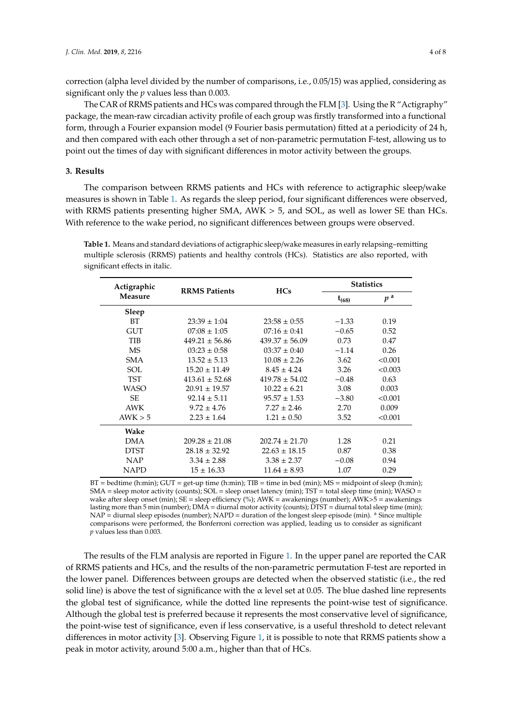correction (alpha level divided by the number of comparisons, i.e., 0.05/15) was applied, considering as significant only the *p* values less than 0.003.

The CAR of RRMS patients and HCs was compared through the FLM [\[3\]](#page-6-2). Using the R "Actigraphy" package, the mean-raw circadian activity profile of each group was firstly transformed into a functional form, through a Fourier expansion model (9 Fourier basis permutation) fitted at a periodicity of 24 h, and then compared with each other through a set of non-parametric permutation F-test, allowing us to point out the times of day with significant differences in motor activity between the groups.

## **3. Results**

The comparison between RRMS patients and HCs with reference to actigraphic sleep/wake measures is shown in Table [1.](#page-3-0) As regards the sleep period, four significant differences were observed, with RRMS patients presenting higher SMA, AWK > 5, and SOL, as well as lower SE than HCs. With reference to the wake period, no significant differences between groups were observed.

<span id="page-3-0"></span>**Table 1.** Means and standard deviations of actigraphic sleep/wake measures in early relapsing–remitting multiple sclerosis (RRMS) patients and healthy controls (HCs). Statistics are also reported, with significant effects in italic.

| Actigraphic<br><b>Measure</b> | <b>RRMS</b> Patients | <b>HCs</b>         | <b>Statistics</b> |                |
|-------------------------------|----------------------|--------------------|-------------------|----------------|
|                               |                      |                    | $t_{(68)}$        | p <sup>a</sup> |
| Sleep                         |                      |                    |                   |                |
| BT                            | $23:39 \pm 1:04$     | $23:58 \pm 0:55$   | $-1.33$           | 0.19           |
| <b>GUT</b>                    | $07:08 \pm 1:05$     | $07:16 \pm 0.41$   | $-0.65$           | 0.52           |
| <b>TIB</b>                    | $449.21 \pm 56.86$   | $439.37 \pm 56.09$ | 0.73              | 0.47           |
| <b>MS</b>                     | $03:23 \pm 0:58$     | $03:37 \pm 0:40$   | $-1.14$           | 0.26           |
| <b>SMA</b>                    | $13.52 \pm 5.13$     | $10.08 \pm 2.26$   | 3.62              | < 0.001        |
| SOL                           | $15.20 \pm 11.49$    | $8.45 \pm 4.24$    | 3.26              | < 0.003        |
| <b>TST</b>                    | $413.61 \pm 52.68$   | $419.78 \pm 54.02$ | $-0.48$           | 0.63           |
| <b>WASO</b>                   | $20.91 \pm 19.57$    | $10.22 \pm 6.21$   | 3.08              | 0.003          |
| SE.                           | $92.14 \pm 5.11$     | $95.57 \pm 1.53$   | $-3.80$           | < 0.001        |
| <b>AWK</b>                    | $9.72 \pm 4.76$      | $7.27 \pm 2.46$    | 2.70              | 0.009          |
| AWK > 5                       | $2.23 \pm 1.64$      | $1.21 \pm 0.50$    | 3.52              | < 0.001        |
| Wake                          |                      |                    |                   |                |
| <b>DMA</b>                    | $209.28 \pm 21.08$   | $202.74 \pm 21.70$ | 1.28              | 0.21           |
| <b>DTST</b>                   | $28.18 \pm 32.92$    | $22.63 \pm 18.15$  | 0.87              | 0.38           |
| <b>NAP</b>                    | $3.34 \pm 2.88$      | $3.38 \pm 2.37$    | $-0.08$           | 0.94           |
| <b>NAPD</b>                   | $15 \pm 16.33$       | $11.64 \pm 8.93$   | 1.07              | 0.29           |

 $BT =$  bedtime (h:min);  $GUT =$  get-up time (h:min);  $TIB =$  time in bed (min);  $MS =$  midpoint of sleep (h:min); SMA = sleep motor activity (counts); SOL = sleep onset latency (min); TST = total sleep time (min); WASO = wake after sleep onset (min); SE = sleep efficiency (%); AWK = awakenings (number); AWK>5 = awakenings lasting more than 5 min (number); DMA = diurnal motor activity (counts); DTST = diurnal total sleep time (min); NAP = diurnal sleep episodes (number); NAPD = duration of the longest sleep episode (min). <sup>a</sup> Since multiple comparisons were performed, the Bonferroni correction was applied, leading us to consider as significant *p* values less than 0.003.

The results of the FLM analysis are reported in Figure [1.](#page-4-0) In the upper panel are reported the CAR of RRMS patients and HCs, and the results of the non-parametric permutation F-test are reported in the lower panel. Differences between groups are detected when the observed statistic (i.e., the red solid line) is above the test of significance with the  $\alpha$  level set at 0.05. The blue dashed line represents the global test of significance, while the dotted line represents the point-wise test of significance. Although the global test is preferred because it represents the most conservative level of significance, the point-wise test of significance, even if less conservative, is a useful threshold to detect relevant differences in motor activity [\[3\]](#page-6-2). Observing Figure [1,](#page-4-0) it is possible to note that RRMS patients show a peak in motor activity, around 5:00 a.m., higher than that of HCs.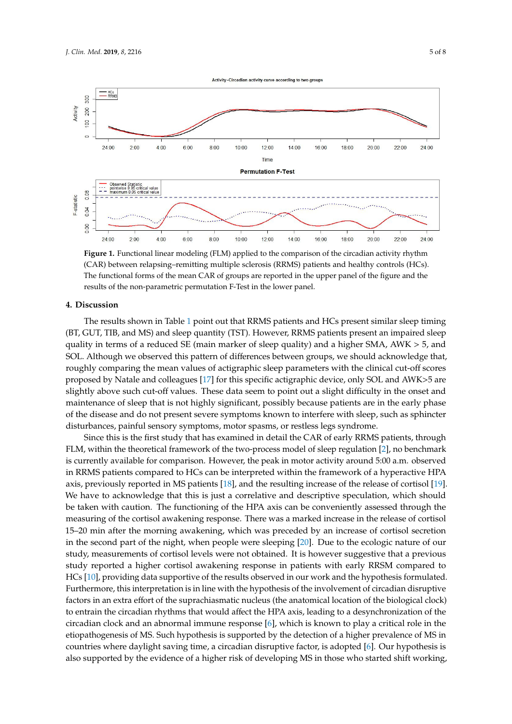<span id="page-4-0"></span>

(CAR) between relapsing–remitting multiple sclerosis (RRMS) patients and healthy controls (HCs). The functional forms of the mean CAR of groups are reported in the upper panel of the figure and the results of the non-parametric permutation F-Test in the lower panel. **Figure 1.** Functional linear modeling (FLM) applied to the comparison of the circadian activity rhythm

#### **4. Discussion**

**4. Discussion**  (BT, GUT, TIB, and MS) and sleep quantity (TST). However, RRMS patients present an impaired sleep  $\frac{1}{100}$  for GUT, GUT, GUT,  $\frac{1}{100}$ . However,  $\frac{1}{100}$ . However,  $\frac{1}{100}$  and  $\frac{1}{100}$  and  $\frac{1}{100}$  and  $\frac{1}{100}$   $\frac{1}{100}$ . quality in terms of a reduced SE (main marker of sleep quality) and a higher SMA, AWK > 5, and  $\sim$ Although we observed this pattern of differences between groups, we should acknowledge that, SOL. Although we observed this pattern of differences between groups, we should acknowledge that, roughly comparing the mean values of actigraphic sleep parameters with the clinical cut-off scores roughly comparing the mean values of actigraphic sleep parameters with the clinical cut-off scores proposed by Natale and colleagues [17] for this specific actigraphic device, only SOL and AWK>5 are proposed by Natale and colleagues [\[17\]](#page-6-16) for this specific actigraphic device, only SOL and AWK>5 are slightly above such cut-off values. These data seem to point out a slight difficulty in the onset and slightly above such cut-off values. These data seem to point out a slight difficulty in the onset and maintenance of sleep that is not highly significant, possibly because patients are in the early phase of the disease and do not present severe symptoms known to interfere with sleep, such as sphincter disturbances, painful sensory symptoms, motor spasms, or restless legs syndrome. disturbances, painful sensory symptoms, motor spasms, or restless legs syndrome. The results shown in Table [1](#page-3-0) point out that RRMS patients and HCs present similar sleep timing

Since this is the first study that has examined in detail the CAR of early RRMS patients, through Since this is the first study that has examined in detail the CAR of early RRMS patients, through  $\mathcal{F}_{\text{F}}$  within the theoretical framework of the two-process model of sleep regulation  $\mathcal{F}_{\text{F}}$  no has FLM, within the theoretical framework of the two-process model of sleep regulation [\[2\]](#page-6-1), no benchmark<br>. is currently available for comparison. However, the peak in motor activity around  $5:00$  a.m. observed in RRMS patients compared to HCs can be interpreted within the framework of a hyperactive HPA axis, previously reported in MS patients [\[18\]](#page-6-17), and the resulting increase of the release of cortisol [\[19\]](#page-6-18). We have to acknowledge that this is just a correlative and descriptive speculation, which should be taken with caution. The functioning of the HPA axis can be conveniently assessed through the measuring of the cortisol awakening response. There was a marked increase in the release of cortisol 15-20 min after the morning awakening, which was preceded by an increase of cortisol secretion in the second part of the night, when people were sleeping [\[20\]](#page-7-0). Due to the ecologic nature of our study, measurements of cortisol levels were not obtained. It is however suggestive that a previous response in particular participation of the RSM compared to HCs in providing to the results of the results of the results of the results of the results of the results of the results of the results of the results of the res study reported a higher cortisol awakening response in patients with early RRSM compared to HCs [\[10\]](#page-6-9), providing data supportive of the results observed in our work and the hypothesis formulated. Furthermore, this interpretation is in line with the hypothesis of the involvement of circadian disruptive factors in an extra effort of the suprachiasmatic nucleus (the anatomical location of the biological clock) to entrain the circadian rhythms that would affect the HPA axis, leading to a desynchronization of the circadian clock and an abnormal immune response [\[6\]](#page-6-5), which is known to play a critical role in the etiopathogenesis of MS. Such hypothesis is supported by the detection of a higher prevalence of MS in countries where daylight saving time, a circadian disruptive factor, is adopted [\[6\]](#page-6-5). Our hypothesis is also supported by the evidence of a higher risk of developing MS in those who started shift working,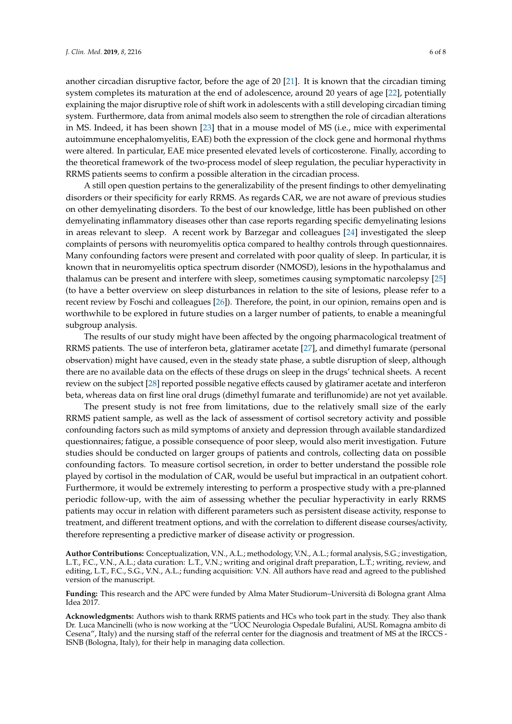another circadian disruptive factor, before the age of 20 [\[21\]](#page-7-1). It is known that the circadian timing system completes its maturation at the end of adolescence, around 20 years of age [\[22\]](#page-7-2), potentially explaining the major disruptive role of shift work in adolescents with a still developing circadian timing system. Furthermore, data from animal models also seem to strengthen the role of circadian alterations in MS. Indeed, it has been shown [\[23\]](#page-7-3) that in a mouse model of MS (i.e., mice with experimental autoimmune encephalomyelitis, EAE) both the expression of the clock gene and hormonal rhythms were altered. In particular, EAE mice presented elevated levels of corticosterone. Finally, according to the theoretical framework of the two-process model of sleep regulation, the peculiar hyperactivity in RRMS patients seems to confirm a possible alteration in the circadian process.

A still open question pertains to the generalizability of the present findings to other demyelinating disorders or their specificity for early RRMS. As regards CAR, we are not aware of previous studies on other demyelinating disorders. To the best of our knowledge, little has been published on other demyelinating inflammatory diseases other than case reports regarding specific demyelinating lesions in areas relevant to sleep. A recent work by Barzegar and colleagues [\[24\]](#page-7-4) investigated the sleep complaints of persons with neuromyelitis optica compared to healthy controls through questionnaires. Many confounding factors were present and correlated with poor quality of sleep. In particular, it is known that in neuromyelitis optica spectrum disorder (NMOSD), lesions in the hypothalamus and thalamus can be present and interfere with sleep, sometimes causing symptomatic narcolepsy [\[25\]](#page-7-5) (to have a better overview on sleep disturbances in relation to the site of lesions, please refer to a recent review by Foschi and colleagues [\[26\]](#page-7-6)). Therefore, the point, in our opinion, remains open and is worthwhile to be explored in future studies on a larger number of patients, to enable a meaningful subgroup analysis.

The results of our study might have been affected by the ongoing pharmacological treatment of RRMS patients. The use of interferon beta, glatiramer acetate [\[27\]](#page-7-7), and dimethyl fumarate (personal observation) might have caused, even in the steady state phase, a subtle disruption of sleep, although there are no available data on the effects of these drugs on sleep in the drugs' technical sheets. A recent review on the subject [\[28\]](#page-7-8) reported possible negative effects caused by glatiramer acetate and interferon beta, whereas data on first line oral drugs (dimethyl fumarate and teriflunomide) are not yet available.

The present study is not free from limitations, due to the relatively small size of the early RRMS patient sample, as well as the lack of assessment of cortisol secretory activity and possible confounding factors such as mild symptoms of anxiety and depression through available standardized questionnaires; fatigue, a possible consequence of poor sleep, would also merit investigation. Future studies should be conducted on larger groups of patients and controls, collecting data on possible confounding factors. To measure cortisol secretion, in order to better understand the possible role played by cortisol in the modulation of CAR, would be useful but impractical in an outpatient cohort. Furthermore, it would be extremely interesting to perform a prospective study with a pre-planned periodic follow-up, with the aim of assessing whether the peculiar hyperactivity in early RRMS patients may occur in relation with different parameters such as persistent disease activity, response to treatment, and different treatment options, and with the correlation to different disease courses/activity, therefore representing a predictive marker of disease activity or progression.

**Author Contributions:** Conceptualization, V.N., A.L.; methodology, V.N., A.L.; formal analysis, S.G.; investigation, L.T., F.C., V.N., A.L.; data curation: L.T., V.N.; writing and original draft preparation, L.T.; writing, review, and editing, L.T., F.C., S.G., V.N., A.L.; funding acquisition: V.N. All authors have read and agreed to the published version of the manuscript.

**Funding:** This research and the APC were funded by Alma Mater Studiorum–Università di Bologna grant Alma Idea 2017.

**Acknowledgments:** Authors wish to thank RRMS patients and HCs who took part in the study. They also thank Dr. Luca Mancinelli (who is now working at the "UOC Neurologia Ospedale Bufalini, AUSL Romagna ambito di Cesena", Italy) and the nursing staff of the referral center for the diagnosis and treatment of MS at the IRCCS - ISNB (Bologna, Italy), for their help in managing data collection.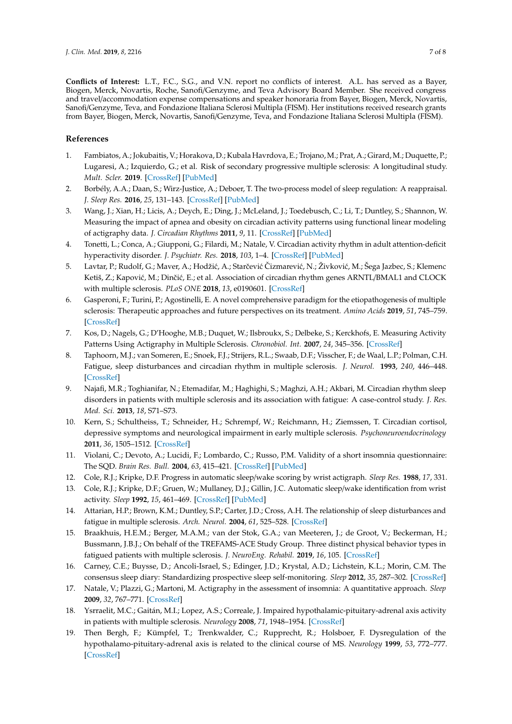**Conflicts of Interest:** L.T., F.C., S.G., and V.N. report no conflicts of interest. A.L. has served as a Bayer, Biogen, Merck, Novartis, Roche, Sanofi/Genzyme, and Teva Advisory Board Member. She received congress and travel/accommodation expense compensations and speaker honoraria from Bayer, Biogen, Merck, Novartis, Sanofi/Genzyme, Teva, and Fondazione Italiana Sclerosi Multipla (FISM). Her institutions received research grants from Bayer, Biogen, Merck, Novartis, Sanofi/Genzyme, Teva, and Fondazione Italiana Sclerosi Multipla (FISM).

# **References**

- <span id="page-6-0"></span>1. Fambiatos, A.; Jokubaitis, V.; Horakova, D.; Kubala Havrdova, E.; Trojano, M.; Prat, A.; Girard, M.; Duquette, P.; Lugaresi, A.; Izquierdo, G.; et al. Risk of secondary progressive multiple sclerosis: A longitudinal study. *Mult. Scler.* **2019**. [\[CrossRef\]](http://dx.doi.org/10.1177/1352458519868990) [\[PubMed\]](http://www.ncbi.nlm.nih.gov/pubmed/31397221)
- <span id="page-6-1"></span>2. Borbély, A.A.; Daan, S.; Wirz-Justice, A.; Deboer, T. The two-process model of sleep regulation: A reappraisal. *J. Sleep Res.* **2016**, *25*, 131–143. [\[CrossRef\]](http://dx.doi.org/10.1111/jsr.12371) [\[PubMed\]](http://www.ncbi.nlm.nih.gov/pubmed/26762182)
- <span id="page-6-2"></span>3. Wang, J.; Xian, H.; Licis, A.; Deych, E.; Ding, J.; McLeland, J.; Toedebusch, C.; Li, T.; Duntley, S.; Shannon, W. Measuring the impact of apnea and obesity on circadian activity patterns using functional linear modeling of actigraphy data. *J. Circadian Rhythms* **2011**, *9*, 11. [\[CrossRef\]](http://dx.doi.org/10.1186/1740-3391-9-11) [\[PubMed\]](http://www.ncbi.nlm.nih.gov/pubmed/21995417)
- <span id="page-6-3"></span>4. Tonetti, L.; Conca, A.; Giupponi, G.; Filardi, M.; Natale, V. Circadian activity rhythm in adult attention-deficit hyperactivity disorder. *J. Psychiatr. Res.* **2018**, *103*, 1–4. [\[CrossRef\]](http://dx.doi.org/10.1016/j.jpsychires.2018.05.002) [\[PubMed\]](http://www.ncbi.nlm.nih.gov/pubmed/29753192)
- <span id="page-6-4"></span>5. Lavtar, P.; Rudolf, G.; Maver, A.; Hodžić, A.; Starčević Čizmarević, N.; Živković, M.; Šega Jazbec, S.; Klemenc Ketiš, Z.; Kapović, M.; Dinčić, E.; et al. Association of circadian rhythm genes ARNTL/BMAL1 and CLOCK with multiple sclerosis. *PLoS ONE* **2018**, *13*, e0190601. [\[CrossRef\]](http://dx.doi.org/10.1371/journal.pone.0190601)
- <span id="page-6-5"></span>6. Gasperoni, F.; Turini, P.; Agostinelli, E. A novel comprehensive paradigm for the etiopathogenesis of multiple sclerosis: Therapeutic approaches and future perspectives on its treatment. *Amino Acids* **2019**, *51*, 745–759. [\[CrossRef\]](http://dx.doi.org/10.1007/s00726-019-02718-1)
- <span id="page-6-6"></span>7. Kos, D.; Nagels, G.; D'Hooghe, M.B.; Duquet, W.; Ilsbroukx, S.; Delbeke, S.; Kerckhofs, E. Measuring Activity Patterns Using Actigraphy in Multiple Sclerosis. *Chronobiol. Int.* **2007**, *24*, 345–356. [\[CrossRef\]](http://dx.doi.org/10.1080/07420520701282364)
- <span id="page-6-7"></span>8. Taphoorn, M.J.; van Someren, E.; Snoek, F.J.; Strijers, R.L.; Swaab, D.F.; Visscher, F.; de Waal, L.P.; Polman, C.H. Fatigue, sleep disturbances and circadian rhythm in multiple sclerosis. *J. Neurol.* **1993**, *240*, 446–448. [\[CrossRef\]](http://dx.doi.org/10.1007/BF00867360)
- <span id="page-6-8"></span>9. Najafi, M.R.; Toghianifar, N.; Etemadifar, M.; Haghighi, S.; Maghzi, A.H.; Akbari, M. Circadian rhythm sleep disorders in patients with multiple sclerosis and its association with fatigue: A case-control study. *J. Res. Med. Sci.* **2013**, *18*, S71–S73.
- <span id="page-6-9"></span>10. Kern, S.; Schultheiss, T.; Schneider, H.; Schrempf, W.; Reichmann, H.; Ziemssen, T. Circadian cortisol, depressive symptoms and neurological impairment in early multiple sclerosis. *Psychoneuroendocrinology* **2011**, *36*, 1505–1512. [\[CrossRef\]](http://dx.doi.org/10.1016/j.psyneuen.2011.04.004)
- <span id="page-6-10"></span>11. Violani, C.; Devoto, A.; Lucidi, F.; Lombardo, C.; Russo, P.M. Validity of a short insomnia questionnaire: The SQD. *Brain Res. Bull.* **2004**, *63*, 415–421. [\[CrossRef\]](http://dx.doi.org/10.1016/j.brainresbull.2003.06.002) [\[PubMed\]](http://www.ncbi.nlm.nih.gov/pubmed/15245769)
- <span id="page-6-11"></span>12. Cole, R.J.; Kripke, D.F. Progress in automatic sleep/wake scoring by wrist actigraph. *Sleep Res.* **1988**, *17*, 331.
- <span id="page-6-12"></span>13. Cole, R.J.; Kripke, D.F.; Gruen, W.; Mullaney, D.J.; Gillin, J.C. Automatic sleep/wake identification from wrist activity. *Sleep* **1992**, *15*, 461–469. [\[CrossRef\]](http://dx.doi.org/10.1093/sleep/15.5.461) [\[PubMed\]](http://www.ncbi.nlm.nih.gov/pubmed/1455130)
- <span id="page-6-13"></span>14. Attarian, H.P.; Brown, K.M.; Duntley, S.P.; Carter, J.D.; Cross, A.H. The relationship of sleep disturbances and fatigue in multiple sclerosis. *Arch. Neurol.* **2004**, *61*, 525–528. [\[CrossRef\]](http://dx.doi.org/10.1001/archneur.61.4.525)
- <span id="page-6-14"></span>15. Braakhuis, H.E.M.; Berger, M.A.M.; van der Stok, G.A.; van Meeteren, J.; de Groot, V.; Beckerman, H.; Bussmann, J.B.J.; On behalf of the TREFAMS-ACE Study Group. Three distinct physical behavior types in fatigued patients with multiple sclerosis. *J. NeuroEng. Rehabil.* **2019**, *16*, 105. [\[CrossRef\]](http://dx.doi.org/10.1186/s12984-019-0573-1)
- <span id="page-6-15"></span>16. Carney, C.E.; Buysse, D.; Ancoli-Israel, S.; Edinger, J.D.; Krystal, A.D.; Lichstein, K.L.; Morin, C.M. The consensus sleep diary: Standardizing prospective sleep self-monitoring. *Sleep* **2012**, *35*, 287–302. [\[CrossRef\]](http://dx.doi.org/10.5665/sleep.1642)
- <span id="page-6-16"></span>17. Natale, V.; Plazzi, G.; Martoni, M. Actigraphy in the assessment of insomnia: A quantitative approach. *Sleep* **2009**, *32*, 767–771. [\[CrossRef\]](http://dx.doi.org/10.1093/sleep/32.6.767)
- <span id="page-6-17"></span>18. Ysrraelit, M.C.; Gaitán, M.I.; Lopez, A.S.; Correale, J. Impaired hypothalamic-pituitary-adrenal axis activity in patients with multiple sclerosis. *Neurology* **2008**, *71*, 1948–1954. [\[CrossRef\]](http://dx.doi.org/10.1212/01.wnl.0000336918.32695.6b)
- <span id="page-6-18"></span>19. Then Bergh, F.; Kümpfel, T.; Trenkwalder, C.; Rupprecht, R.; Holsboer, F. Dysregulation of the hypothalamo-pituitary-adrenal axis is related to the clinical course of MS. *Neurology* **1999**, *53*, 772–777. [\[CrossRef\]](http://dx.doi.org/10.1212/WNL.53.4.772)